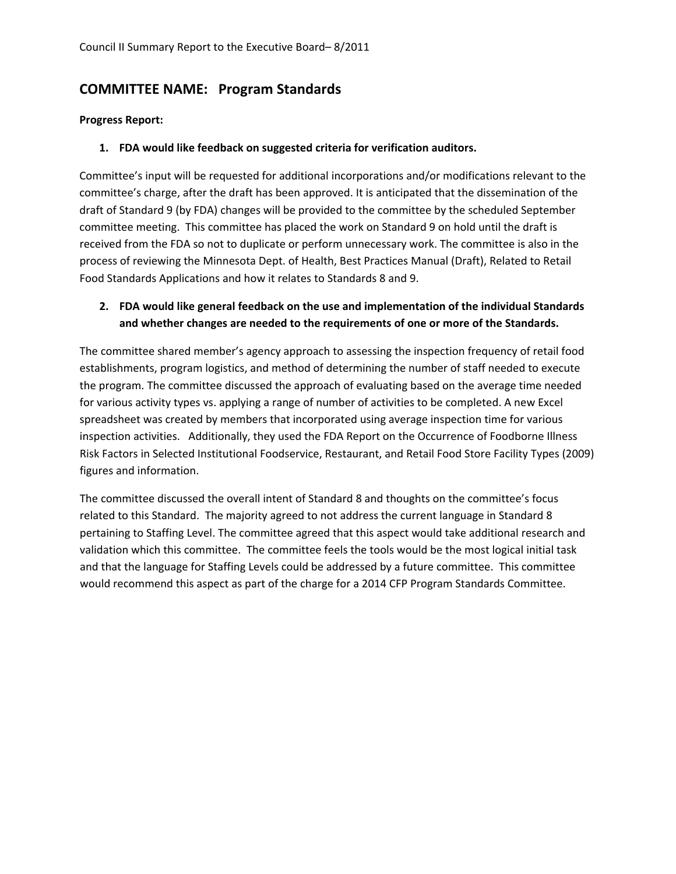# **COMMITTEE NAME: Program Standards**

### **Progress Report:**

### **1. FDA would like feedback on suggested criteria for verification auditors.**

Committee's input will be requested for additional incorporations and/or modifications relevant to the committee's charge, after the draft has been approved. It is anticipated that the dissemination of the draft of Standard 9 (by FDA) changes will be provided to the committee by the scheduled September committee meeting. This committee has placed the work on Standard 9 on hold until the draft is received from the FDA so not to duplicate or perform unnecessary work. The committee is also in the process of reviewing the Minnesota Dept. of Health, Best Practices Manual (Draft), Related to Retail Food Standards Applications and how it relates to Standards 8 and 9.

### **2. FDA would like general feedback on the use and implementation of the individual Standards and whether changes are needed to the requirements of one or more of the Standards.**

The committee shared member's agency approach to assessing the inspection frequency of retail food establishments, program logistics, and method of determining the number of staff needed to execute the program. The committee discussed the approach of evaluating based on the average time needed for various activity types vs. applying a range of number of activities to be completed. A new Excel spreadsheet was created by members that incorporated using average inspection time for various inspection activities. Additionally, they used the FDA Report on the Occurrence of Foodborne Illness Risk Factors in Selected Institutional Foodservice, Restaurant, and Retail Food Store Facility Types (2009) figures and information.

The committee discussed the overall intent of Standard 8 and thoughts on the committee's focus related to this Standard. The majority agreed to not address the current language in Standard 8 pertaining to Staffing Level. The committee agreed that this aspect would take additional research and validation which this committee. The committee feels the tools would be the most logical initial task and that the language for Staffing Levels could be addressed by a future committee. This committee would recommend this aspect as part of the charge for a 2014 CFP Program Standards Committee.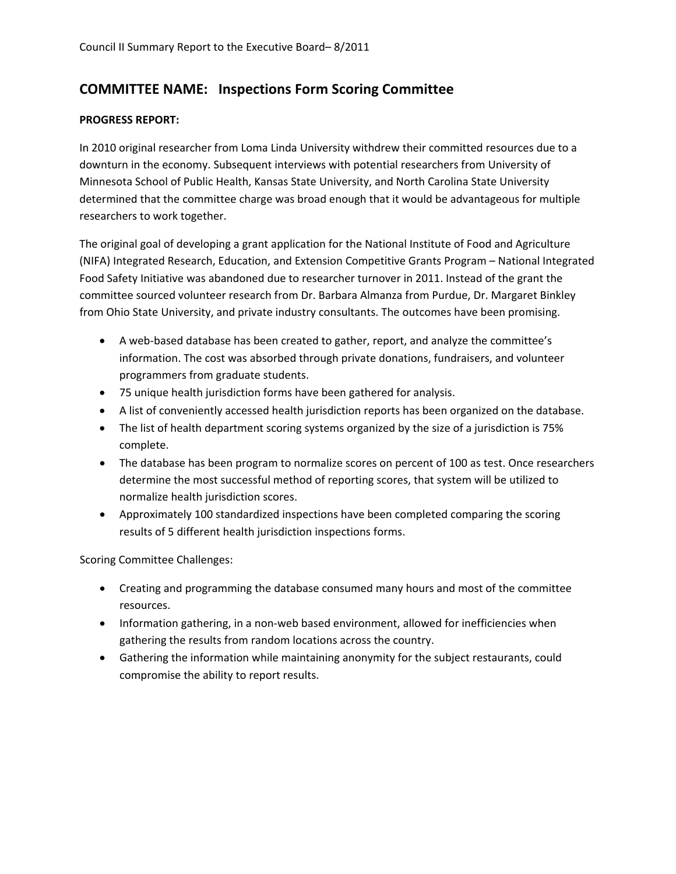## **COMMITTEE NAME: Inspections Form Scoring Committee**

### **PROGRESS REPORT:**

In 2010 original researcher from Loma Linda University withdrew their committed resources due to a downturn in the economy. Subsequent interviews with potential researchers from University of Minnesota School of Public Health, Kansas State University, and North Carolina State University determined that the committee charge was broad enough that it would be advantageous for multiple researchers to work together.

The original goal of developing a grant application for the National Institute of Food and Agriculture (NIFA) Integrated Research, Education, and Extension Competitive Grants Program – National Integrated Food Safety Initiative was abandoned due to researcher turnover in 2011. Instead of the grant the committee sourced volunteer research from Dr. Barbara Almanza from Purdue, Dr. Margaret Binkley from Ohio State University, and private industry consultants. The outcomes have been promising.

- A web-based database has been created to gather, report, and analyze the committee's information. The cost was absorbed through private donations, fundraisers, and volunteer programmers from graduate students.
- 75 unique health jurisdiction forms have been gathered for analysis.
- A list of conveniently accessed health jurisdiction reports has been organized on the database.
- The list of health department scoring systems organized by the size of a jurisdiction is 75% complete.
- The database has been program to normalize scores on percent of 100 as test. Once researchers determine the most successful method of reporting scores, that system will be utilized to normalize health jurisdiction scores.
- Approximately 100 standardized inspections have been completed comparing the scoring results of 5 different health jurisdiction inspections forms.

Scoring Committee Challenges:

- Creating and programming the database consumed many hours and most of the committee resources.
- Information gathering, in a non‐web based environment, allowed for inefficiencies when gathering the results from random locations across the country.
- Gathering the information while maintaining anonymity for the subject restaurants, could compromise the ability to report results.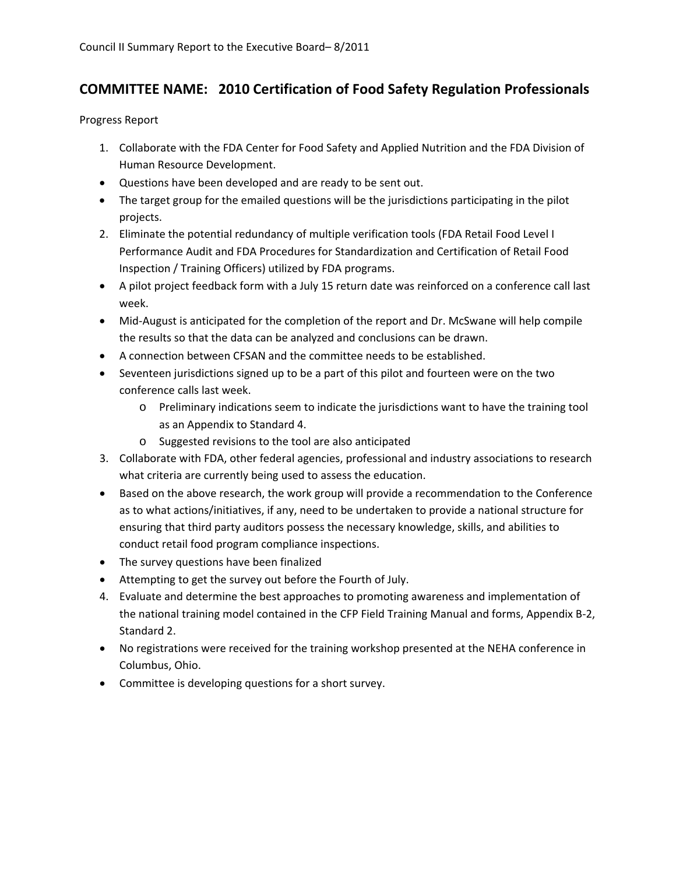# **COMMITTEE NAME: 2010 Certification of Food Safety Regulation Professionals**

Progress Report

- 1. Collaborate with the FDA Center for Food Safety and Applied Nutrition and the FDA Division of Human Resource Development.
- Questions have been developed and are ready to be sent out.
- The target group for the emailed questions will be the jurisdictions participating in the pilot projects.
- 2. Eliminate the potential redundancy of multiple verification tools (FDA Retail Food Level I Performance Audit and FDA Procedures for Standardization and Certification of Retail Food Inspection / Training Officers) utilized by FDA programs.
- A pilot project feedback form with a July 15 return date was reinforced on a conference call last week.
- Mid-August is anticipated for the completion of the report and Dr. McSwane will help compile the results so that the data can be analyzed and conclusions can be drawn.
- A connection between CFSAN and the committee needs to be established.
- Seventeen jurisdictions signed up to be a part of this pilot and fourteen were on the two conference calls last week.
	- o Preliminary indications seem to indicate the jurisdictions want to have the training tool as an Appendix to Standard 4.
	- o Suggested revisions to the tool are also anticipated
- 3. Collaborate with FDA, other federal agencies, professional and industry associations to research what criteria are currently being used to assess the education.
- Based on the above research, the work group will provide a recommendation to the Conference as to what actions/initiatives, if any, need to be undertaken to provide a national structure for ensuring that third party auditors possess the necessary knowledge, skills, and abilities to conduct retail food program compliance inspections.
- The survey questions have been finalized
- Attempting to get the survey out before the Fourth of July.
- 4. Evaluate and determine the best approaches to promoting awareness and implementation of the national training model contained in the CFP Field Training Manual and forms, Appendix B‐2, Standard 2.
- No registrations were received for the training workshop presented at the NEHA conference in Columbus, Ohio.
- Committee is developing questions for a short survey.